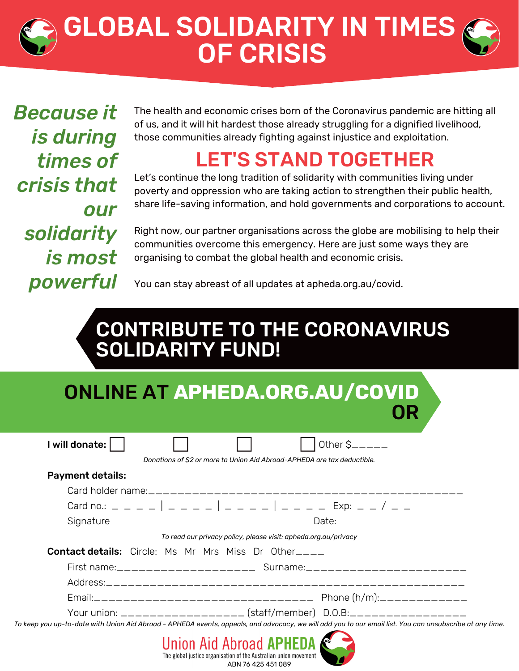# GLOBAL SOLIDARITY IN TIMES OF CRISIS

*Because it is during times of crisis that our solidarity is most powerful*

The health and economic crises born of the Coronavirus pandemic are hitting all of us, and it will hit hardest those already struggling for a dignified livelihood, those communities already fighting against injustice and exploitation.

## LET'S STAND TOGETHER

Let's continue the long tradition of solidarity with communities living under poverty and oppression who are taking action to strengthen their public health, share life-saving information, and hold governments and corporations to account.

Right now, our partner organisations across the globe are mobilising to help their communities overcome this emergency. Here are just some ways they are organising to combat the global health and economic crisis.

You can stay abreast of all updates at apheda.org.au/covid.

## CONTRIBUTE TO THE CORONAVIRUS SOLIDARITY FUND!

| ONLINE AT APHEDA.ORG.AU/COVID |  |
|-------------------------------|--|
| OR .                          |  |

| I will donate:          |                                                                         |                                                                 | Other $S_{\text{---}}$                                                  |
|-------------------------|-------------------------------------------------------------------------|-----------------------------------------------------------------|-------------------------------------------------------------------------|
|                         | Donations of \$2 or more to Union Aid Abroad-APHEDA are tax deductible. |                                                                 |                                                                         |
| <b>Payment details:</b> |                                                                         |                                                                 |                                                                         |
|                         |                                                                         |                                                                 |                                                                         |
|                         |                                                                         |                                                                 |                                                                         |
| Signature               |                                                                         |                                                                 | Date:                                                                   |
|                         |                                                                         | To read our privacy policy, please visit: apheda.org.au/privacy |                                                                         |
|                         | <b>Contact details:</b> Circle: Ms Mr Mrs Miss Dr Other                 |                                                                 |                                                                         |
|                         |                                                                         |                                                                 |                                                                         |
|                         |                                                                         |                                                                 |                                                                         |
|                         |                                                                         |                                                                 |                                                                         |
|                         |                                                                         |                                                                 | Your union: ___________________ (staff/member) D.O.B:__________________ |